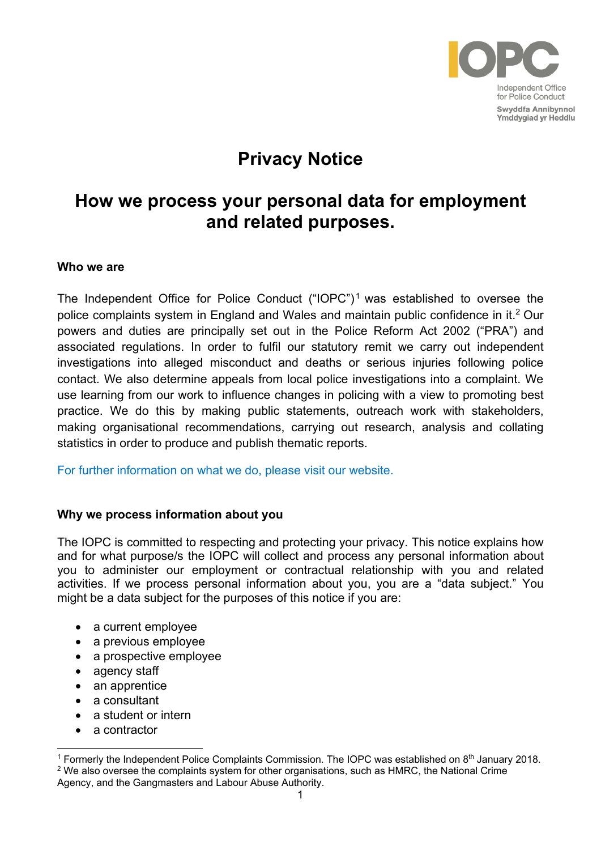

# **Privacy Notice**

# **How we process your personal data for employment and related purposes.**

#### **Who we are**

The Independent Office for Police Conduct  $("IOPC")<sup>1</sup>$  was established to oversee the police complaints system in England and Wales and maintain public confidence in it. <sup>2</sup> Our powers and duties are principally set out in the Police Reform Act 2002 ("PRA") and associated regulations. In order to fulfil our statutory remit we carry out independent investigations into alleged misconduct and deaths or serious injuries following police contact. We also determine appeals from local police investigations into a complaint. We use learning from our work to influence changes in policing with a view to promoting best practice. We do this by making public statements, outreach work with stakeholders, making organisational recommendations, carrying out research, analysis and collating statistics in order to produce and publish thematic reports.

[For further information on what we do, please visit our website.](https://www.policeconduct.gov.uk/) 

## **Why we process information about you**

The IOPC is committed to respecting and protecting your privacy. This notice explains how and for what purpose/s the IOPC will collect and process any personal information about you to administer our employment or contractual relationship with you and related activities. If we process personal information about you, you are a "data subject." You might be a data subject for the purposes of this notice if you are:

- a current employee
- a previous employee
- a prospective employee
- agency staff
- an apprentice
- a consultant
- a student or intern
- a contractor

Agency, and the Gangmasters and Labour Abuse Authority.

<sup>&</sup>lt;sup>1</sup> Formerly the Independent Police Complaints Commission. The IOPC was established on  $8<sup>th</sup>$  January 2018.  $2$  We also oversee the complaints system for other organisations, such as HMRC, the National Crime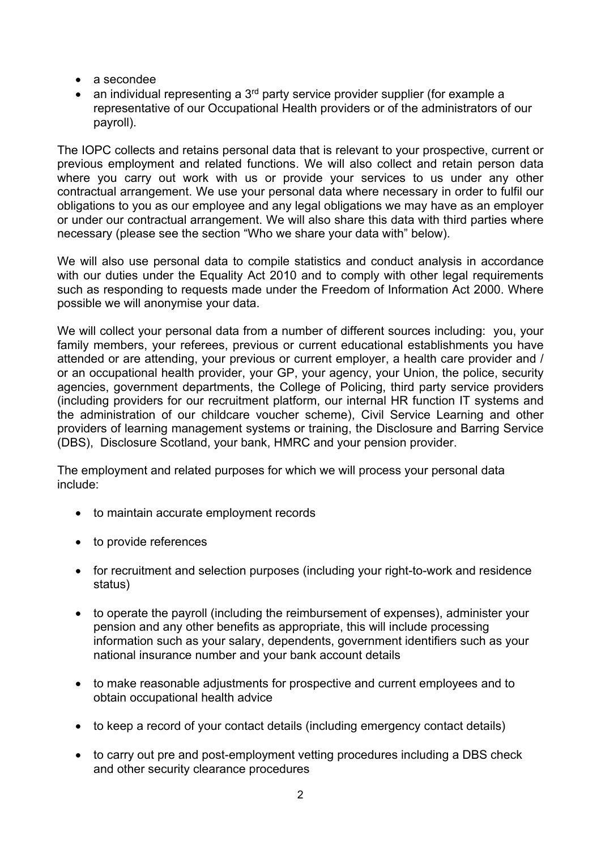- a secondee
- an individual representing a  $3<sup>rd</sup>$  party service provider supplier (for example a representative of our Occupational Health providers or of the administrators of our payroll).

The IOPC collects and retains personal data that is relevant to your prospective, current or previous employment and related functions. We will also collect and retain person data where you carry out work with us or provide your services to us under any other contractual arrangement. We use your personal data where necessary in order to fulfil our obligations to you as our employee and any legal obligations we may have as an employer or under our contractual arrangement. We will also share this data with third parties where necessary (please see the section "Who we share your data with" below).

We will also use personal data to compile statistics and conduct analysis in accordance with our duties under the Equality Act 2010 and to comply with other legal requirements such as responding to requests made under the Freedom of Information Act 2000. Where possible we will anonymise your data.

We will collect your personal data from a number of different sources including: you, your family members, your referees, previous or current educational establishments you have attended or are attending, your previous or current employer, a health care provider and / or an occupational health provider, your GP, your agency, your Union, the police, security agencies, government departments, the College of Policing, third party service providers (including providers for our recruitment platform, our internal HR function IT systems and the administration of our childcare voucher scheme), Civil Service Learning and other providers of learning management systems or training, the Disclosure and Barring Service (DBS), Disclosure Scotland, your bank, HMRC and your pension provider.

The employment and related purposes for which we will process your personal data include:

- to maintain accurate employment records
- to provide references
- for recruitment and selection purposes (including your right-to-work and residence status)
- to operate the payroll (including the reimbursement of expenses), administer your pension and any other benefits as appropriate, this will include processing information such as your salary, dependents, government identifiers such as your national insurance number and your bank account details
- to make reasonable adjustments for prospective and current employees and to obtain occupational health advice
- to keep a record of your contact details (including emergency contact details)
- to carry out pre and post-employment vetting procedures including a DBS check and other security clearance procedures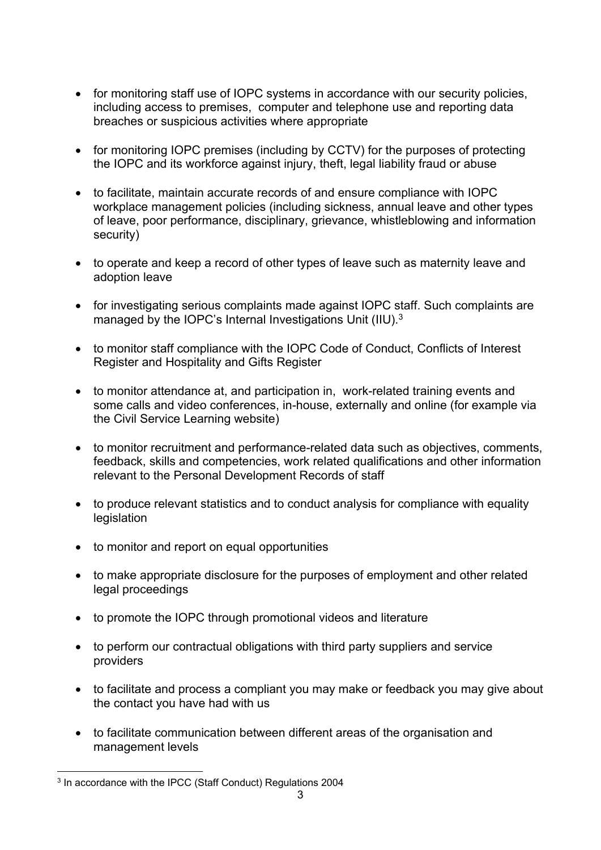- for monitoring staff use of IOPC systems in accordance with our security policies, including access to premises, computer and telephone use and reporting data breaches or suspicious activities where appropriate
- for monitoring IOPC premises (including by CCTV) for the purposes of protecting the IOPC and its workforce against injury, theft, legal liability fraud or abuse
- to facilitate, maintain accurate records of and ensure compliance with IOPC workplace management policies (including sickness, annual leave and other types of leave, poor performance, disciplinary, grievance, whistleblowing and information security)
- to operate and keep a record of other types of leave such as maternity leave and adoption leave
- for investigating serious complaints made against IOPC staff. Such complaints are managed by the IOPC's Internal Investigations Unit (IIU).<sup>3</sup>
- to monitor staff compliance with the IOPC Code of Conduct, Conflicts of Interest Register and Hospitality and Gifts Register
- to monitor attendance at, and participation in, work-related training events and some calls and video conferences, in-house, externally and online (for example via the Civil Service Learning website)
- to monitor recruitment and performance-related data such as objectives, comments, feedback, skills and competencies, work related qualifications and other information relevant to the Personal Development Records of staff
- to produce relevant statistics and to conduct analysis for compliance with equality legislation
- to monitor and report on equal opportunities
- to make appropriate disclosure for the purposes of employment and other related legal proceedings
- to promote the IOPC through promotional videos and literature
- to perform our contractual obligations with third party suppliers and service providers
- to facilitate and process a compliant you may make or feedback you may give about the contact you have had with us
- to facilitate communication between different areas of the organisation and management levels

<sup>&</sup>lt;sup>3</sup> In accordance with the IPCC (Staff Conduct) Regulations 2004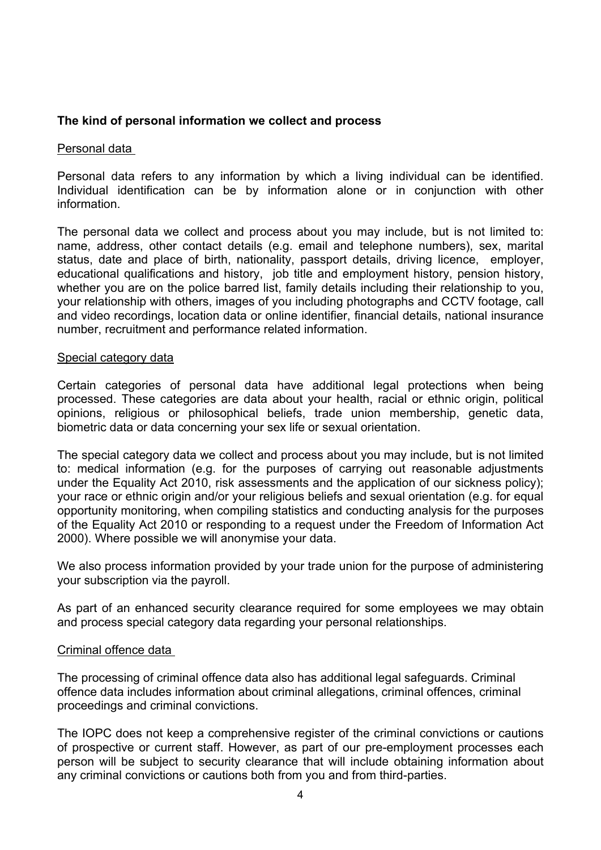## **The kind of personal information we collect and process**

#### Personal data

Personal data refers to any information by which a living individual can be identified. Individual identification can be by information alone or in conjunction with other information.

The personal data we collect and process about you may include, but is not limited to: name, address, other contact details (e.g. email and telephone numbers), sex, marital status, date and place of birth, nationality, passport details, driving licence, employer, educational qualifications and history, job title and employment history, pension history, whether you are on the police barred list, family details including their relationship to you, your relationship with others, images of you including photographs and CCTV footage, call and video recordings, location data or online identifier, financial details, national insurance number, recruitment and performance related information.

#### Special category data

Certain categories of personal data have additional legal protections when being processed. These categories are data about your health, racial or ethnic origin, political opinions, religious or philosophical beliefs, trade union membership, genetic data, biometric data or data concerning your sex life or sexual orientation.

The special category data we collect and process about you may include, but is not limited to: medical information (e.g. for the purposes of carrying out reasonable adjustments under the Equality Act 2010, risk assessments and the application of our sickness policy); your race or ethnic origin and/or your religious beliefs and sexual orientation (e.g. for equal opportunity monitoring, when compiling statistics and conducting analysis for the purposes of the Equality Act 2010 or responding to a request under the Freedom of Information Act 2000). Where possible we will anonymise your data.

We also process information provided by your trade union for the purpose of administering your subscription via the payroll.

As part of an enhanced security clearance required for some employees we may obtain and process special category data regarding your personal relationships.

## Criminal offence data

The processing of criminal offence data also has additional legal safeguards. Criminal offence data includes information about criminal allegations, criminal offences, criminal proceedings and criminal convictions.

The IOPC does not keep a comprehensive register of the criminal convictions or cautions of prospective or current staff. However, as part of our pre-employment processes each person will be subject to security clearance that will include obtaining information about any criminal convictions or cautions both from you and from third-parties.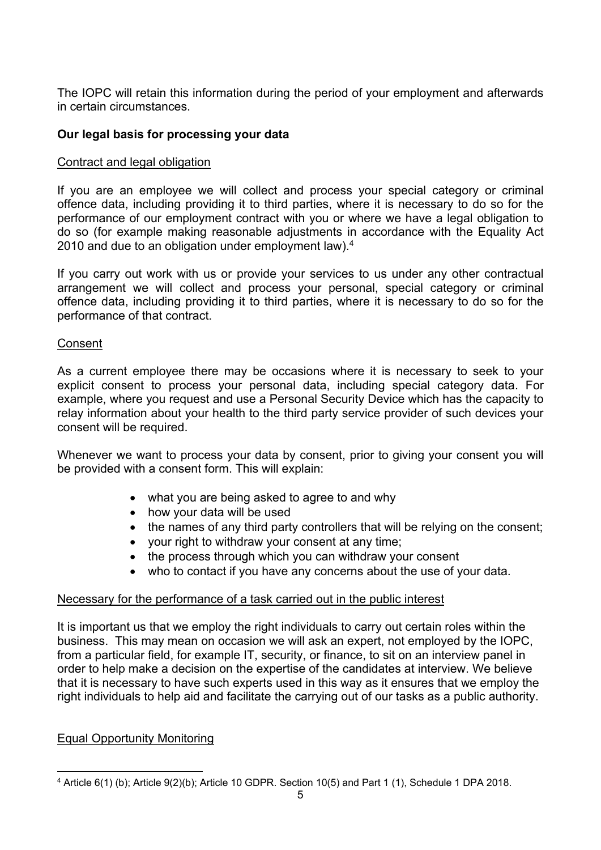The IOPC will retain this information during the period of your employment and afterwards in certain circumstances.

# **Our legal basis for processing your data**

## Contract and legal obligation

If you are an employee we will collect and process your special category or criminal offence data, including providing it to third parties, where it is necessary to do so for the performance of our employment contract with you or where we have a legal obligation to do so (for example making reasonable adjustments in accordance with the Equality Act 2010 and due to an obligation under employment law).<sup>4</sup>

If you carry out work with us or provide your services to us under any other contractual arrangement we will collect and process your personal, special category or criminal offence data, including providing it to third parties, where it is necessary to do so for the performance of that contract.

## Consent

As a current employee there may be occasions where it is necessary to seek to your explicit consent to process your personal data, including special category data. For example, where you request and use a Personal Security Device which has the capacity to relay information about your health to the third party service provider of such devices your consent will be required.

Whenever we want to process your data by consent, prior to giving your consent you will be provided with a consent form. This will explain:

- what you are being asked to agree to and why
- how your data will be used
- the names of any third party controllers that will be relying on the consent;
- your right to withdraw your consent at any time;
- the process through which you can withdraw your consent
- who to contact if you have any concerns about the use of your data.

## Necessary for the performance of a task carried out in the public interest

It is important us that we employ the right individuals to carry out certain roles within the business. This may mean on occasion we will ask an expert, not employed by the IOPC, from a particular field, for example IT, security, or finance, to sit on an interview panel in order to help make a decision on the expertise of the candidates at interview. We believe that it is necessary to have such experts used in this way as it ensures that we employ the right individuals to help aid and facilitate the carrying out of our tasks as a public authority.

## Equal Opportunity Monitoring

<sup>4</sup> Article 6(1) (b); Article 9(2)(b); Article 10 GDPR. Section 10(5) and Part 1 (1), Schedule 1 DPA 2018.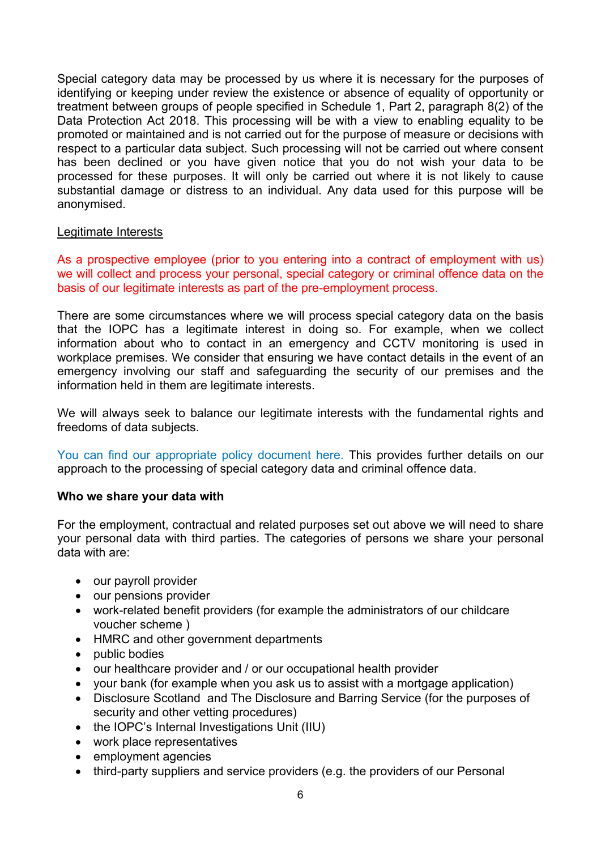Special category data may be processed by us where it is necessary for the purposes of identifying or keeping under review the existence or absence of equality of opportunity or treatment between groups of people specified in Schedule 1, Part 2, paragraph 8(2) of the Data Protection Act 2018. This processing will be with a view to enabling equality to be promoted or maintained and is not carried out for the purpose of measure or decisions with respect to a particular data subject. Such processing will not be carried out where consent has been declined or you have given notice that you do not wish your data to be processed for these purposes. It will only be carried out where it is not likely to cause substantial damage or distress to an individual. Any data used for this purpose will be anonymised.

#### Legitimate Interests

As a prospective employee (prior to you entering into a contract of employment with us) we will collect and process your personal, special category or criminal offence data on the basis of our legitimate interests as part of the pre-employment process.

There are some circumstances where we will process special category data on the basis that the IOPC has a legitimate interest in doing so. For example, when we collect information about who to contact in an emergency and CCTV monitoring is used in workplace premises. We consider that ensuring we have contact details in the event of an emergency involving our staff and safeguarding the security of our premises and the information held in them are legitimate interests.

We will always seek to balance our legitimate interests with the fundamental rights and freedoms of data subjects.

You can find our [appropriate policy document here.](https://www.policeconduct.gov.uk/sites/default/files/Documents/Who-we-are/Our-Policies/Appropriate_Policy_Document_HR.pdf) This provides further details on our approach to the processing of special category data and criminal offence data.

## **Who we share your data with**

For the employment, contractual and related purposes set out above we will need to share your personal data with third parties. The categories of persons we share your personal data with are:

- our payroll provider
- our pensions provider
- work-related benefit providers (for example the administrators of our childcare voucher scheme )
- HMRC and other government departments
- public bodies
- our healthcare provider and / or our occupational health provider
- your bank (for example when you ask us to assist with a mortgage application)
- Disclosure Scotland and The Disclosure and Barring Service (for the purposes of security and other vetting procedures)
- the IOPC's Internal Investigations Unit (IIU)
- work place representatives
- employment agencies
- third-party suppliers and service providers (e.g. the providers of our Personal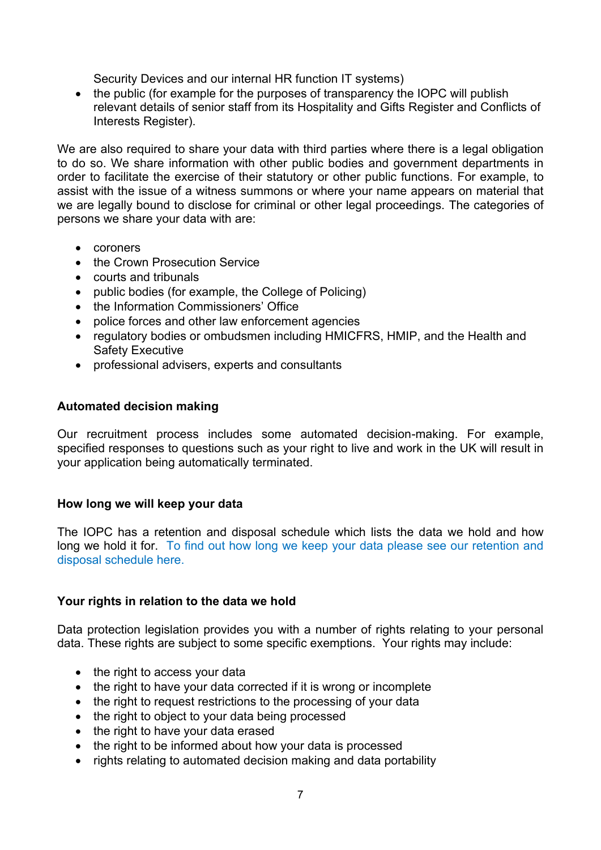Security Devices and our internal HR function IT systems)

• the public (for example for the purposes of transparency the IOPC will publish relevant details of senior staff from its Hospitality and Gifts Register and Conflicts of Interests Register).

We are also required to share your data with third parties where there is a legal obligation to do so. We share information with other public bodies and government departments in order to facilitate the exercise of their statutory or other public functions. For example, to assist with the issue of a witness summons or where your name appears on material that we are legally bound to disclose for criminal or other legal proceedings. The categories of persons we share your data with are:

- coroners
- the Crown Prosecution Service
- courts and tribunals
- public bodies (for example, the College of Policing)
- the Information Commissioners' Office
- police forces and other law enforcement agencies
- regulatory bodies or ombudsmen including HMICFRS, HMIP, and the Health and Safety Executive
- professional advisers, experts and consultants

# **Automated decision making**

Our recruitment process includes some automated decision-making. For example, specified responses to questions such as your right to live and work in the UK will result in your application being automatically terminated.

## **How long we will keep your data**

The IOPC has a retention and disposal schedule which lists the data we hold and how long we hold it for. [To find out how long we keep your data please see our retention and](https://www.policeconduct.gov.uk/sites/default/files/Documents/Who-we-are/Our-Policies/IOPC_Retention_and_Disposal_Schedule_2021.xlsx)  [disposal schedule here.](https://www.policeconduct.gov.uk/sites/default/files/Documents/Who-we-are/Our-Policies/IOPC_Retention_and_Disposal_Schedule_2021.xlsx)

## **Your rights in relation to the data we hold**

Data protection legislation provides you with a number of rights relating to your personal data. These rights are subject to some specific exemptions. Your rights may include:

- the right to access your data
- the right to have your data corrected if it is wrong or incomplete
- the right to request restrictions to the processing of your data
- the right to object to your data being processed
- the right to have your data erased
- the right to be informed about how your data is processed
- rights relating to automated decision making and data portability